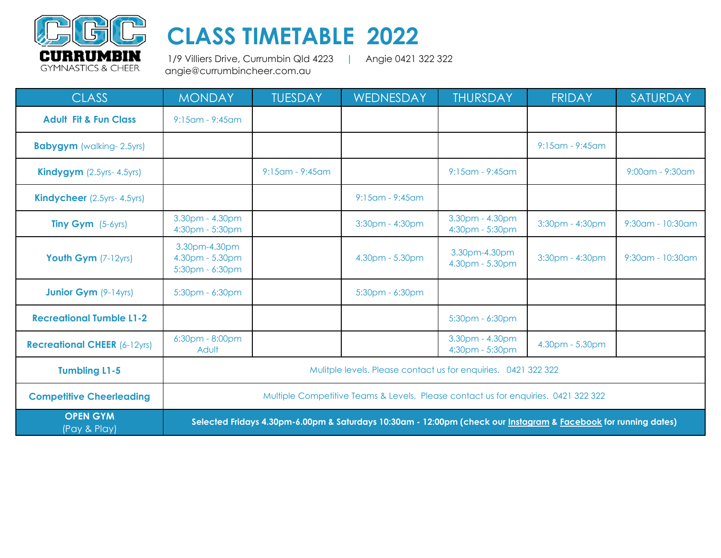

## **CLASS TIMETABLE 2022**

 1/9 Villiers Drive, Currumbin Qld 4223 **|** Angie 0421 322 322 angie@currumbincheer.com.au

| <b>CLASS</b>                        | <b>MONDAY</b>                                                                                                   | <b>TUESDAY</b>        | WEDNESDAY             | <b>THURSDAY</b>                    | <b>FRIDAY</b>         | SATURDAY              |
|-------------------------------------|-----------------------------------------------------------------------------------------------------------------|-----------------------|-----------------------|------------------------------------|-----------------------|-----------------------|
| <b>Adult Fit &amp; Fun Class</b>    | 9:15am - 9:45am                                                                                                 |                       |                       |                                    |                       |                       |
| <b>Babygym</b> (walking-2.5yrs)     |                                                                                                                 |                       |                       |                                    | $9:15$ am - $9:45$ am |                       |
| <b>Kindygym</b> $(2.5yrs - 4.5yrs)$ |                                                                                                                 | $9:15$ am - $9:45$ am |                       | $9:15$ am - $9:45$ am              |                       | $9:00$ am - $9:30$ am |
| <b>Kindycheer</b> (2.5yrs-4.5yrs)   |                                                                                                                 |                       | $9:15$ am - $9:45$ am |                                    |                       |                       |
| <b>Tiny Gym</b> $(5-6yrs)$          | 3.30pm - 4.30pm<br>4:30pm - 5:30pm                                                                              |                       | 3:30pm - 4:30pm       | 3.30pm - 4.30pm<br>4:30pm - 5:30pm | 3:30pm - 4:30pm       | 9:30am - 10:30am      |
| Youth Gym (7-12yrs)                 | 3.30pm-4.30pm<br>4.30pm - 5.30pm<br>5:30pm - 6:30pm                                                             |                       | 4.30pm - 5.30pm       | 3.30pm-4.30pm<br>4.30pm - 5.30pm   | 3:30pm - 4:30pm       | 9:30am - 10:30am      |
| <b>Junior Gym</b> (9-14yrs)         | 5:30pm - 6:30pm                                                                                                 |                       | 5:30pm - 6:30pm       |                                    |                       |                       |
| <b>Recreational Tumble L1-2</b>     |                                                                                                                 |                       |                       | 5:30pm - 6:30pm                    |                       |                       |
| <b>Recreational CHEER (6-12yrs)</b> | 6:30pm - 8:00pm<br>Adult                                                                                        |                       |                       | 3.30pm - 4.30pm<br>4:30pm - 5:30pm | 4.30pm - 5.30pm       |                       |
| <b>Tumbling L1-5</b>                | Mulitple levels. Please contact us for enquiries. 0421 322 322                                                  |                       |                       |                                    |                       |                       |
| <b>Competitive Cheerleading</b>     | Multiple Competitive Teams & Levels, Please contact us for enquiries. 0421 322 322                              |                       |                       |                                    |                       |                       |
| <b>OPEN GYM</b><br>(Pay & Play)     | Selected Fridays 4.30pm-6.00pm & Saturdays 10:30am - 12:00pm (check our Instagram & Facebook for running dates) |                       |                       |                                    |                       |                       |